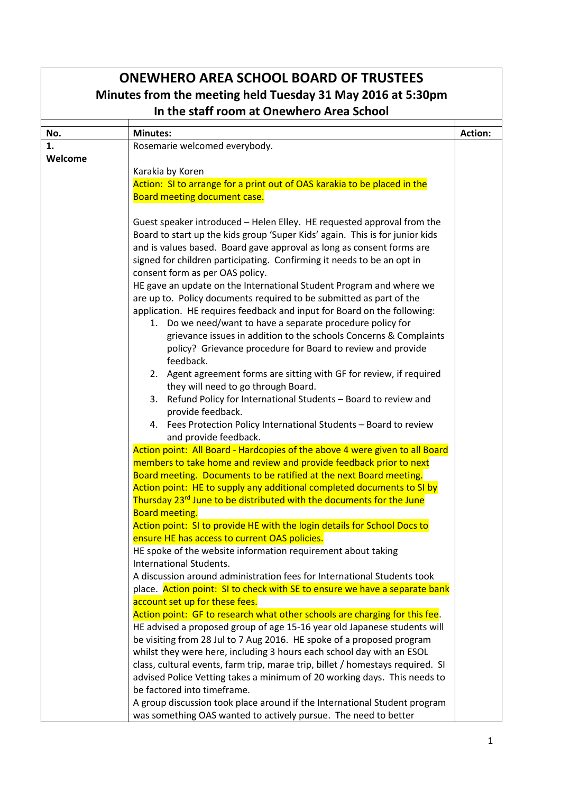|         | <b>ONEWHERO AREA SCHOOL BOARD OF TRUSTEES</b><br>Minutes from the meeting held Tuesday 31 May 2016 at 5:30pm                                            |                |
|---------|---------------------------------------------------------------------------------------------------------------------------------------------------------|----------------|
|         | In the staff room at Onewhero Area School                                                                                                               |                |
| No.     | <b>Minutes:</b>                                                                                                                                         | <b>Action:</b> |
| 1.      | Rosemarie welcomed everybody.                                                                                                                           |                |
| Welcome |                                                                                                                                                         |                |
|         | Karakia by Koren<br>Action: SI to arrange for a print out of OAS karakia to be placed in the                                                            |                |
|         | Board meeting document case.                                                                                                                            |                |
|         |                                                                                                                                                         |                |
|         | Guest speaker introduced - Helen Elley. HE requested approval from the                                                                                  |                |
|         | Board to start up the kids group 'Super Kids' again. This is for junior kids                                                                            |                |
|         | and is values based. Board gave approval as long as consent forms are                                                                                   |                |
|         | signed for children participating. Confirming it needs to be an opt in                                                                                  |                |
|         | consent form as per OAS policy.                                                                                                                         |                |
|         | HE gave an update on the International Student Program and where we                                                                                     |                |
|         | are up to. Policy documents required to be submitted as part of the                                                                                     |                |
|         | application. HE requires feedback and input for Board on the following:<br>1. Do we need/want to have a separate procedure policy for                   |                |
|         | grievance issues in addition to the schools Concerns & Complaints                                                                                       |                |
|         | policy? Grievance procedure for Board to review and provide                                                                                             |                |
|         | feedback.                                                                                                                                               |                |
|         | 2. Agent agreement forms are sitting with GF for review, if required                                                                                    |                |
|         | they will need to go through Board.                                                                                                                     |                |
|         | 3. Refund Policy for International Students - Board to review and                                                                                       |                |
|         | provide feedback.                                                                                                                                       |                |
|         | 4. Fees Protection Policy International Students - Board to review                                                                                      |                |
|         | and provide feedback.                                                                                                                                   |                |
|         | Action point: All Board - Hardcopies of the above 4 were given to all Board                                                                             |                |
|         | members to take home and review and provide feedback prior to next                                                                                      |                |
|         | Board meeting. Documents to be ratified at the next Board meeting.<br>Action point: HE to supply any additional completed documents to SI by            |                |
|         | Thursday 23 <sup>rd</sup> June to be distributed with the documents for the June                                                                        |                |
|         | <b>Board meeting.</b>                                                                                                                                   |                |
|         | Action point: SI to provide HE with the login details for School Docs to                                                                                |                |
|         | ensure HE has access to current OAS policies.                                                                                                           |                |
|         | HE spoke of the website information requirement about taking                                                                                            |                |
|         | International Students.                                                                                                                                 |                |
|         | A discussion around administration fees for International Students took                                                                                 |                |
|         | place. Action point: SI to check with SE to ensure we have a separate bank                                                                              |                |
|         | account set up for these fees.                                                                                                                          |                |
|         | Action point: GF to research what other schools are charging for this fee.                                                                              |                |
|         | HE advised a proposed group of age 15-16 year old Japanese students will                                                                                |                |
|         | be visiting from 28 Jul to 7 Aug 2016. HE spoke of a proposed program                                                                                   |                |
|         | whilst they were here, including 3 hours each school day with an ESOL<br>class, cultural events, farm trip, marae trip, billet / homestays required. SI |                |
|         | advised Police Vetting takes a minimum of 20 working days. This needs to                                                                                |                |
|         | be factored into timeframe.                                                                                                                             |                |
|         | A group discussion took place around if the International Student program                                                                               |                |
|         | was something OAS wanted to actively pursue. The need to better                                                                                         |                |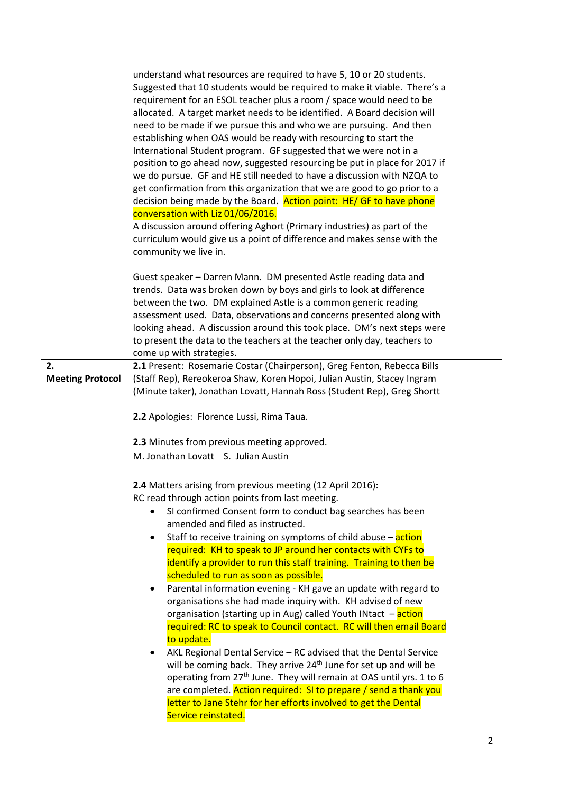|                         | understand what resources are required to have 5, 10 or 20 students.<br>Suggested that 10 students would be required to make it viable. There's a<br>requirement for an ESOL teacher plus a room / space would need to be<br>allocated. A target market needs to be identified. A Board decision will<br>need to be made if we pursue this and who we are pursuing. And then<br>establishing when OAS would be ready with resourcing to start the<br>International Student program. GF suggested that we were not in a<br>position to go ahead now, suggested resourcing be put in place for 2017 if<br>we do pursue. GF and HE still needed to have a discussion with NZQA to<br>get confirmation from this organization that we are good to go prior to a<br>decision being made by the Board. Action point: HE/ GF to have phone<br>conversation with Liz 01/06/2016.<br>A discussion around offering Aghort (Primary industries) as part of the<br>curriculum would give us a point of difference and makes sense with the<br>community we live in.                                                                                                               |  |
|-------------------------|-----------------------------------------------------------------------------------------------------------------------------------------------------------------------------------------------------------------------------------------------------------------------------------------------------------------------------------------------------------------------------------------------------------------------------------------------------------------------------------------------------------------------------------------------------------------------------------------------------------------------------------------------------------------------------------------------------------------------------------------------------------------------------------------------------------------------------------------------------------------------------------------------------------------------------------------------------------------------------------------------------------------------------------------------------------------------------------------------------------------------------------------------------------------------|--|
|                         | Guest speaker - Darren Mann. DM presented Astle reading data and<br>trends. Data was broken down by boys and girls to look at difference<br>between the two. DM explained Astle is a common generic reading<br>assessment used. Data, observations and concerns presented along with<br>looking ahead. A discussion around this took place. DM's next steps were<br>to present the data to the teachers at the teacher only day, teachers to<br>come up with strategies.                                                                                                                                                                                                                                                                                                                                                                                                                                                                                                                                                                                                                                                                                              |  |
| 2.                      | 2.1 Present: Rosemarie Costar (Chairperson), Greg Fenton, Rebecca Bills                                                                                                                                                                                                                                                                                                                                                                                                                                                                                                                                                                                                                                                                                                                                                                                                                                                                                                                                                                                                                                                                                               |  |
| <b>Meeting Protocol</b> | (Staff Rep), Rereokeroa Shaw, Koren Hopoi, Julian Austin, Stacey Ingram<br>(Minute taker), Jonathan Lovatt, Hannah Ross (Student Rep), Greg Shortt                                                                                                                                                                                                                                                                                                                                                                                                                                                                                                                                                                                                                                                                                                                                                                                                                                                                                                                                                                                                                    |  |
|                         |                                                                                                                                                                                                                                                                                                                                                                                                                                                                                                                                                                                                                                                                                                                                                                                                                                                                                                                                                                                                                                                                                                                                                                       |  |
|                         | 2.2 Apologies: Florence Lussi, Rima Taua.                                                                                                                                                                                                                                                                                                                                                                                                                                                                                                                                                                                                                                                                                                                                                                                                                                                                                                                                                                                                                                                                                                                             |  |
|                         | 2.3 Minutes from previous meeting approved.                                                                                                                                                                                                                                                                                                                                                                                                                                                                                                                                                                                                                                                                                                                                                                                                                                                                                                                                                                                                                                                                                                                           |  |
|                         | M. Jonathan Lovatt S. Julian Austin                                                                                                                                                                                                                                                                                                                                                                                                                                                                                                                                                                                                                                                                                                                                                                                                                                                                                                                                                                                                                                                                                                                                   |  |
|                         | 2.4 Matters arising from previous meeting (12 April 2016):<br>RC read through action points from last meeting.<br>SI confirmed Consent form to conduct bag searches has been<br>amended and filed as instructed.<br>Staff to receive training on symptoms of child abuse $-\arctan$<br>required: KH to speak to JP around her contacts with CYFs to<br>identify a provider to run this staff training. Training to then be<br>scheduled to run as soon as possible.<br>Parental information evening - KH gave an update with regard to<br>٠<br>organisations she had made inquiry with. KH advised of new<br>organisation (starting up in Aug) called Youth INtact - action<br>required: RC to speak to Council contact. RC will then email Board<br>to update.<br>AKL Regional Dental Service - RC advised that the Dental Service<br>will be coming back. They arrive 24 <sup>th</sup> June for set up and will be<br>operating from 27 <sup>th</sup> June. They will remain at OAS until yrs. 1 to 6<br>are completed. Action required: SI to prepare / send a thank you<br>letter to Jane Stehr for her efforts involved to get the Dental<br>Service reinstated. |  |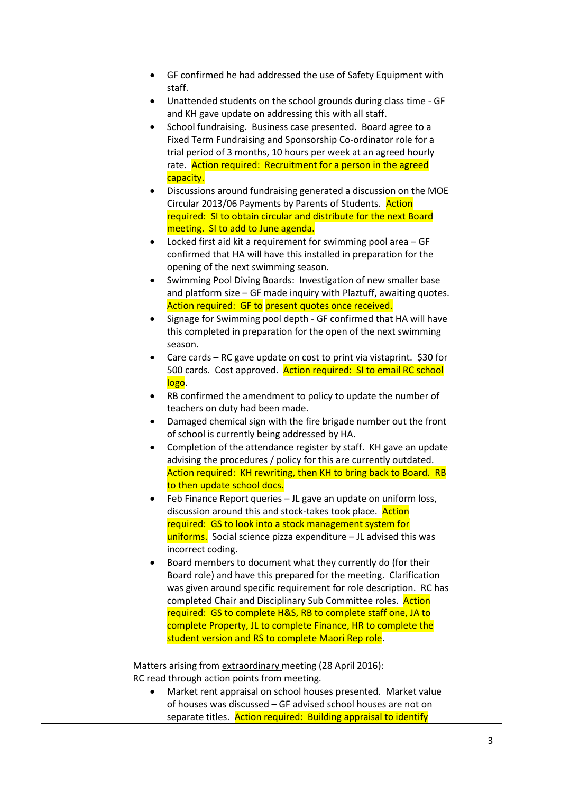| GF confirmed he had addressed the use of Safety Equipment with<br>$\bullet$        |
|------------------------------------------------------------------------------------|
| staff.                                                                             |
| Unattended students on the school grounds during class time - GF<br>٠              |
| and KH gave update on addressing this with all staff.                              |
| School fundraising. Business case presented. Board agree to a<br>$\bullet$         |
| Fixed Term Fundraising and Sponsorship Co-ordinator role for a                     |
| trial period of 3 months, 10 hours per week at an agreed hourly                    |
| rate. Action required: Recruitment for a person in the agreed                      |
| capacity.                                                                          |
| Discussions around fundraising generated a discussion on the MOE                   |
| Circular 2013/06 Payments by Parents of Students. Action                           |
| required: SI to obtain circular and distribute for the next Board                  |
| meeting. SI to add to June agenda.                                                 |
| Locked first aid kit a requirement for swimming pool area - GF<br>$\bullet$        |
| confirmed that HA will have this installed in preparation for the                  |
| opening of the next swimming season.                                               |
| Swimming Pool Diving Boards: Investigation of new smaller base                     |
| and platform size - GF made inquiry with Plaztuff, awaiting quotes.                |
| Action required: GF to present quotes once received.                               |
| Signage for Swimming pool depth - GF confirmed that HA will have<br>٠              |
| this completed in preparation for the open of the next swimming                    |
| season.                                                                            |
| Care cards - RC gave update on cost to print via vistaprint. \$30 for<br>$\bullet$ |
| 500 cards. Cost approved. Action required: SI to email RC school                   |
| logo.                                                                              |
| RB confirmed the amendment to policy to update the number of<br>٠                  |
| teachers on duty had been made.                                                    |
|                                                                                    |
| Damaged chemical sign with the fire brigade number out the front<br>٠              |
| of school is currently being addressed by HA.                                      |
| Completion of the attendance register by staff. KH gave an update<br>$\bullet$     |
| advising the procedures / policy for this are currently outdated.                  |
| Action required: KH rewriting, then KH to bring back to Board. RB                  |
| to then update school docs.                                                        |
| Feb Finance Report queries - JL gave an update on uniform loss,                    |
| discussion around this and stock-takes took place. Action                          |
| required: GS to look into a stock management system for                            |
| uniforms. Social science pizza expenditure - JL advised this was                   |
| incorrect coding.                                                                  |
| Board members to document what they currently do (for their<br>$\bullet$           |
| Board role) and have this prepared for the meeting. Clarification                  |
| was given around specific requirement for role description. RC has                 |
| completed Chair and Disciplinary Sub Committee roles. Action                       |
| required: GS to complete H&S, RB to complete staff one, JA to                      |
| complete Property, JL to complete Finance, HR to complete the                      |
| student version and RS to complete Maori Rep role.                                 |
| Matters arising from extraordinary meeting (28 April 2016):                        |
| RC read through action points from meeting.                                        |
| Market rent appraisal on school houses presented. Market value                     |
| of houses was discussed - GF advised school houses are not on                      |
| separate titles. Action required: Building appraisal to identify                   |
|                                                                                    |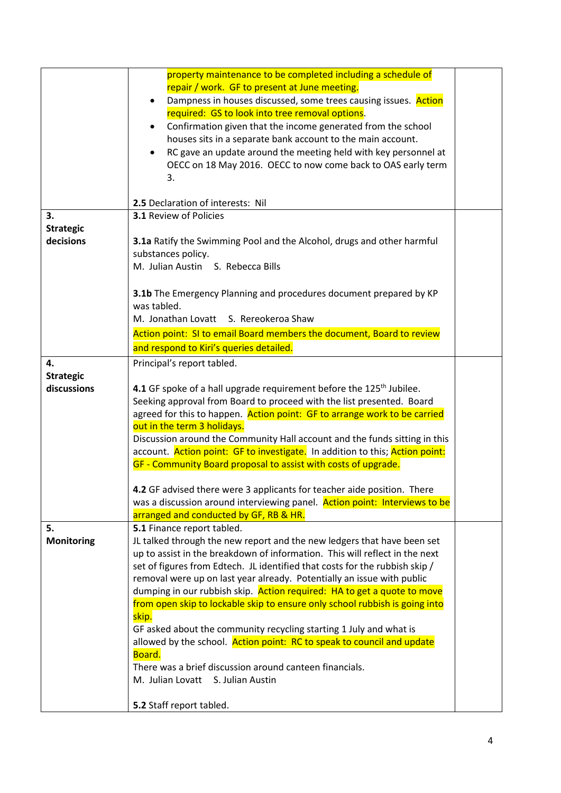|                        | property maintenance to be completed including a schedule of<br>repair / work. GF to present at June meeting.<br>Dampness in houses discussed, some trees causing issues. Action<br>required: GS to look into tree removal options.<br>Confirmation given that the income generated from the school<br>$\bullet$<br>houses sits in a separate bank account to the main account.<br>RC gave an update around the meeting held with key personnel at<br>٠<br>OECC on 18 May 2016. OECC to now come back to OAS early term<br>3. |  |
|------------------------|-------------------------------------------------------------------------------------------------------------------------------------------------------------------------------------------------------------------------------------------------------------------------------------------------------------------------------------------------------------------------------------------------------------------------------------------------------------------------------------------------------------------------------|--|
|                        | 2.5 Declaration of interests: Nil<br><b>3.1 Review of Policies</b>                                                                                                                                                                                                                                                                                                                                                                                                                                                            |  |
| 3.<br><b>Strategic</b> |                                                                                                                                                                                                                                                                                                                                                                                                                                                                                                                               |  |
| decisions              | 3.1a Ratify the Swimming Pool and the Alcohol, drugs and other harmful                                                                                                                                                                                                                                                                                                                                                                                                                                                        |  |
|                        | substances policy.                                                                                                                                                                                                                                                                                                                                                                                                                                                                                                            |  |
|                        | M. Julian Austin S. Rebecca Bills                                                                                                                                                                                                                                                                                                                                                                                                                                                                                             |  |
|                        |                                                                                                                                                                                                                                                                                                                                                                                                                                                                                                                               |  |
|                        | 3.1b The Emergency Planning and procedures document prepared by KP<br>was tabled.                                                                                                                                                                                                                                                                                                                                                                                                                                             |  |
|                        | M. Jonathan Lovatt S. Rereokeroa Shaw                                                                                                                                                                                                                                                                                                                                                                                                                                                                                         |  |
|                        | Action point: SI to email Board members the document, Board to review                                                                                                                                                                                                                                                                                                                                                                                                                                                         |  |
|                        | and respond to Kiri's queries detailed.                                                                                                                                                                                                                                                                                                                                                                                                                                                                                       |  |
| 4.                     | Principal's report tabled.                                                                                                                                                                                                                                                                                                                                                                                                                                                                                                    |  |
| <b>Strategic</b>       |                                                                                                                                                                                                                                                                                                                                                                                                                                                                                                                               |  |
| discussions            | 4.1 GF spoke of a hall upgrade requirement before the 125 <sup>th</sup> Jubilee.                                                                                                                                                                                                                                                                                                                                                                                                                                              |  |
|                        | Seeking approval from Board to proceed with the list presented. Board                                                                                                                                                                                                                                                                                                                                                                                                                                                         |  |
|                        | agreed for this to happen. Action point: GF to arrange work to be carried                                                                                                                                                                                                                                                                                                                                                                                                                                                     |  |
|                        | out in the term 3 holidays.                                                                                                                                                                                                                                                                                                                                                                                                                                                                                                   |  |
|                        | Discussion around the Community Hall account and the funds sitting in this                                                                                                                                                                                                                                                                                                                                                                                                                                                    |  |
|                        | account. Action point: GF to investigate. In addition to this; Action point:                                                                                                                                                                                                                                                                                                                                                                                                                                                  |  |
|                        | GF - Community Board proposal to assist with costs of upgrade.                                                                                                                                                                                                                                                                                                                                                                                                                                                                |  |
|                        | 4.2 GF advised there were 3 applicants for teacher aide position. There                                                                                                                                                                                                                                                                                                                                                                                                                                                       |  |
|                        | was a discussion around interviewing panel. Action point: Interviews to be                                                                                                                                                                                                                                                                                                                                                                                                                                                    |  |
|                        | arranged and conducted by GF, RB & HR.                                                                                                                                                                                                                                                                                                                                                                                                                                                                                        |  |
| 5.                     | 5.1 Finance report tabled.                                                                                                                                                                                                                                                                                                                                                                                                                                                                                                    |  |
| <b>Monitoring</b>      | JL talked through the new report and the new ledgers that have been set                                                                                                                                                                                                                                                                                                                                                                                                                                                       |  |
|                        | up to assist in the breakdown of information. This will reflect in the next                                                                                                                                                                                                                                                                                                                                                                                                                                                   |  |
|                        | set of figures from Edtech. JL identified that costs for the rubbish skip /                                                                                                                                                                                                                                                                                                                                                                                                                                                   |  |
|                        | removal were up on last year already. Potentially an issue with public<br>dumping in our rubbish skip. Action required: HA to get a quote to move                                                                                                                                                                                                                                                                                                                                                                             |  |
|                        | from open skip to lockable skip to ensure only school rubbish is going into                                                                                                                                                                                                                                                                                                                                                                                                                                                   |  |
|                        | skip.                                                                                                                                                                                                                                                                                                                                                                                                                                                                                                                         |  |
|                        | GF asked about the community recycling starting 1 July and what is                                                                                                                                                                                                                                                                                                                                                                                                                                                            |  |
|                        | allowed by the school. Action point: RC to speak to council and update                                                                                                                                                                                                                                                                                                                                                                                                                                                        |  |
|                        | Board.                                                                                                                                                                                                                                                                                                                                                                                                                                                                                                                        |  |
|                        | There was a brief discussion around canteen financials.                                                                                                                                                                                                                                                                                                                                                                                                                                                                       |  |
|                        | M. Julian Lovatt S. Julian Austin                                                                                                                                                                                                                                                                                                                                                                                                                                                                                             |  |
|                        | 5.2 Staff report tabled.                                                                                                                                                                                                                                                                                                                                                                                                                                                                                                      |  |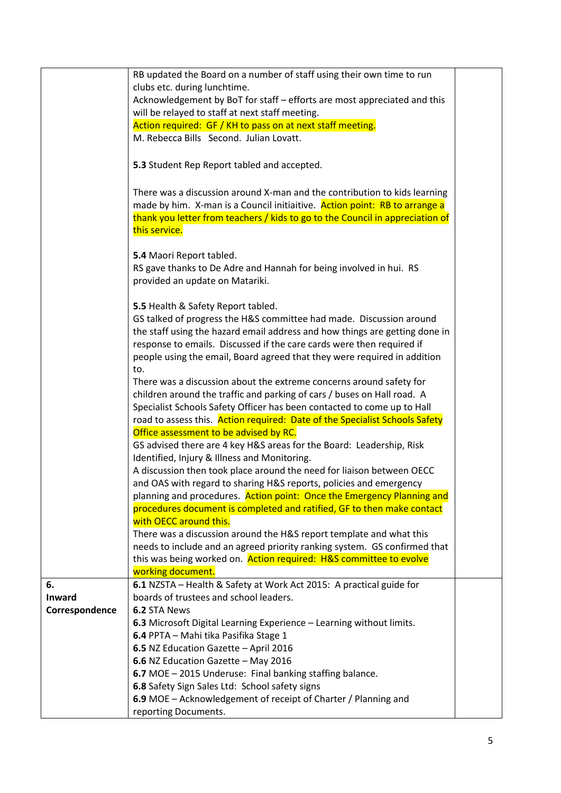|                | RB updated the Board on a number of staff using their own time to run         |  |
|----------------|-------------------------------------------------------------------------------|--|
|                | clubs etc. during lunchtime.                                                  |  |
|                | Acknowledgement by BoT for staff - efforts are most appreciated and this      |  |
|                | will be relayed to staff at next staff meeting.                               |  |
|                | Action required: GF / KH to pass on at next staff meeting.                    |  |
|                |                                                                               |  |
|                | M. Rebecca Bills Second. Julian Lovatt.                                       |  |
|                |                                                                               |  |
|                | 5.3 Student Rep Report tabled and accepted.                                   |  |
|                | There was a discussion around X-man and the contribution to kids learning     |  |
|                | made by him. X-man is a Council initiaitive. Action point: RB to arrange a    |  |
|                |                                                                               |  |
|                | thank you letter from teachers / kids to go to the Council in appreciation of |  |
|                | this service.                                                                 |  |
|                | 5.4 Maori Report tabled.                                                      |  |
|                | RS gave thanks to De Adre and Hannah for being involved in hui. RS            |  |
|                |                                                                               |  |
|                | provided an update on Matariki.                                               |  |
|                | 5.5 Health & Safety Report tabled.                                            |  |
|                | GS talked of progress the H&S committee had made. Discussion around           |  |
|                |                                                                               |  |
|                | the staff using the hazard email address and how things are getting done in   |  |
|                | response to emails. Discussed if the care cards were then required if         |  |
|                | people using the email, Board agreed that they were required in addition      |  |
|                | to.                                                                           |  |
|                | There was a discussion about the extreme concerns around safety for           |  |
|                | children around the traffic and parking of cars / buses on Hall road. A       |  |
|                | Specialist Schools Safety Officer has been contacted to come up to Hall       |  |
|                | road to assess this. Action required: Date of the Specialist Schools Safety   |  |
|                | Office assessment to be advised by RC.                                        |  |
|                | GS advised there are 4 key H&S areas for the Board: Leadership, Risk          |  |
|                | Identified, Injury & Illness and Monitoring.                                  |  |
|                | A discussion then took place around the need for liaison between OECC         |  |
|                | and OAS with regard to sharing H&S reports, policies and emergency            |  |
|                | planning and procedures. Action point: Once the Emergency Planning and        |  |
|                | procedures document is completed and ratified, GF to then make contact        |  |
|                | with OECC around this.                                                        |  |
|                | There was a discussion around the H&S report template and what this           |  |
|                | needs to include and an agreed priority ranking system. GS confirmed that     |  |
|                | this was being worked on. Action required: H&S committee to evolve            |  |
|                | working document.                                                             |  |
| 6.             | 6.1 NZSTA - Health & Safety at Work Act 2015: A practical guide for           |  |
| Inward         | boards of trustees and school leaders.                                        |  |
| Correspondence | 6.2 STA News                                                                  |  |
|                | 6.3 Microsoft Digital Learning Experience - Learning without limits.          |  |
|                | 6.4 PPTA - Mahi tika Pasifika Stage 1                                         |  |
|                | 6.5 NZ Education Gazette - April 2016                                         |  |
|                | 6.6 NZ Education Gazette - May 2016                                           |  |
|                | 6.7 MOE - 2015 Underuse: Final banking staffing balance.                      |  |
|                | 6.8 Safety Sign Sales Ltd: School safety signs                                |  |
|                | 6.9 MOE - Acknowledgement of receipt of Charter / Planning and                |  |
|                | reporting Documents.                                                          |  |